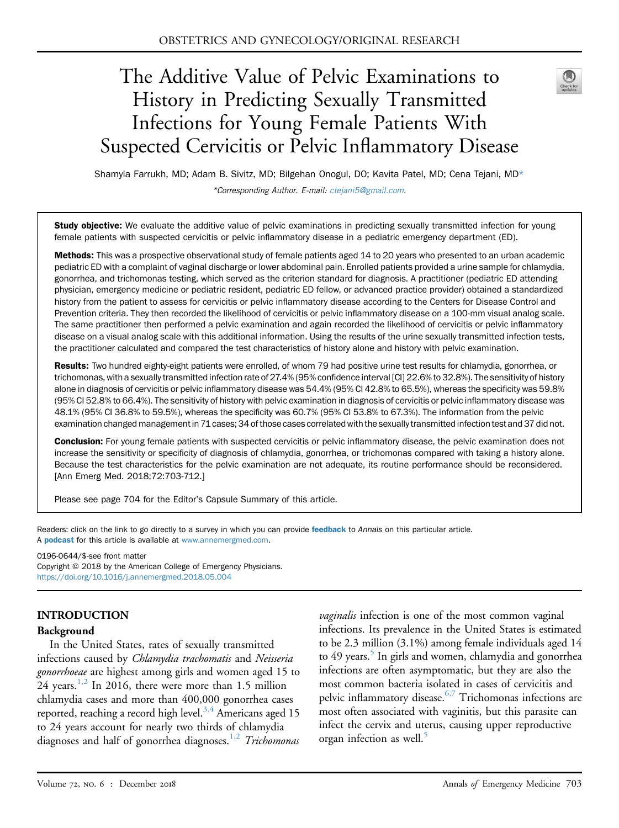# The Additive Value of Pelvic Examinations to History in Predicting Sexually Transmitted Infections for Young Female Patients With Suspected Cervicitis or Pelvic Inflammatory Disease



Shamyla Farrukh, MD; Adam B. Sivitz, MD; Bilgehan Onogul, DO; Kavita Patel, MD; Cena Tejani, MD\* \*Corresponding Author. E-mail: [ctejani5@gmail.com.](mailto:ctejani5@gmail.com)

Study objective: We evaluate the additive value of pelvic examinations in predicting sexually transmitted infection for young female patients with suspected cervicitis or pelvic inflammatory disease in a pediatric emergency department (ED).

Methods: This was a prospective observational study of female patients aged 14 to 20 years who presented to an urban academic pediatric ED with a complaint of vaginal discharge or lower abdominal pain. Enrolled patients provided a urine sample for chlamydia, gonorrhea, and trichomonas testing, which served as the criterion standard for diagnosis. A practitioner (pediatric ED attending physician, emergency medicine or pediatric resident, pediatric ED fellow, or advanced practice provider) obtained a standardized history from the patient to assess for cervicitis or pelvic inflammatory disease according to the Centers for Disease Control and Prevention criteria. They then recorded the likelihood of cervicitis or pelvic inflammatory disease on a 100-mm visual analog scale. The same practitioner then performed a pelvic examination and again recorded the likelihood of cervicitis or pelvic inflammatory disease on a visual analog scale with this additional information. Using the results of the urine sexually transmitted infection tests, the practitioner calculated and compared the test characteristics of history alone and history with pelvic examination.

Results: Two hundred eighty-eight patients were enrolled, of whom 79 had positive urine test results for chlamydia, gonorrhea, or trichomonas, with a sexually transmitted infection rate of 27.4% (95% confidence interval [CI] 22.6% to 32.8%). The sensitivity of history alone in diagnosis of cervicitis or pelvic inflammatory disease was 54.4% (95% CI 42.8% to 65.5%), whereas the specificity was 59.8% (95% CI 52.8% to 66.4%). The sensitivity of history with pelvic examination in diagnosis of cervicitis or pelvic inflammatory disease was 48.1% (95% CI 36.8% to 59.5%), whereas the specificity was 60.7% (95% CI 53.8% to 67.3%). The information from the pelvic examination changed management in 71 cases; 34 of those cases correlated with the sexually transmitted infection test and 37 did not.

Conclusion: For young female patients with suspected cervicitis or pelvic inflammatory disease, the pelvic examination does not increase the sensitivity or specificity of diagnosis of chlamydia, gonorrhea, or trichomonas compared with taking a history alone. Because the test characteristics for the pelvic examination are not adequate, its routine performance should be reconsidered. [Ann Emerg Med. 2018;72:703-712.]

Please see page 704 for the Editor's Capsule Summary of this article.

Readers: click on the link to go directly to a survey in which you can provide [feedback](https://www.surveymonkey.com/r/B9G2DFJ) to Annals on this particular article. A **[podcast](http://annemergmed.com/content/podcast)** for this article is available at [www.annemergmed.com.](http://www.annemergmed.com)

0196-0644/\$-see front matter Copyright © 2018 by the American College of Emergency Physicians. <https://doi.org/10.1016/j.annemergmed.2018.05.004>

#### INTRODUCTION

#### Background

In the United States, rates of sexually transmitted infections caused by Chlamydia trachomatis and Neisseria gonorrhoeae are highest among girls and women aged 15 to 24 years.<sup>[1,2](#page-8-0)</sup> In 2016, there were more than 1.5 million chlamydia cases and more than 400,000 gonorrhea cases reported, reaching a record high level.<sup>[3,4](#page-8-1)</sup> Americans aged 15 to 24 years account for nearly two thirds of chlamydia diagnoses and half of gonorrhea diagnoses.<sup>[1,2](#page-8-0)</sup> Trichomonas

vaginalis infection is one of the most common vaginal infections. Its prevalence in the United States is estimated to be 2.3 million (3.1%) among female individuals aged 14 to 49 years.<sup>[5](#page-8-2)</sup> In girls and women, chlamydia and gonorrhea infections are often asymptomatic, but they are also the most common bacteria isolated in cases of cervicitis and pelvic inflammatory disease.<sup>[6,7](#page-8-3)</sup> Trichomonas infections are most often associated with vaginitis, but this parasite can infect the cervix and uterus, causing upper reproductive organ infection as well.<sup>5</sup>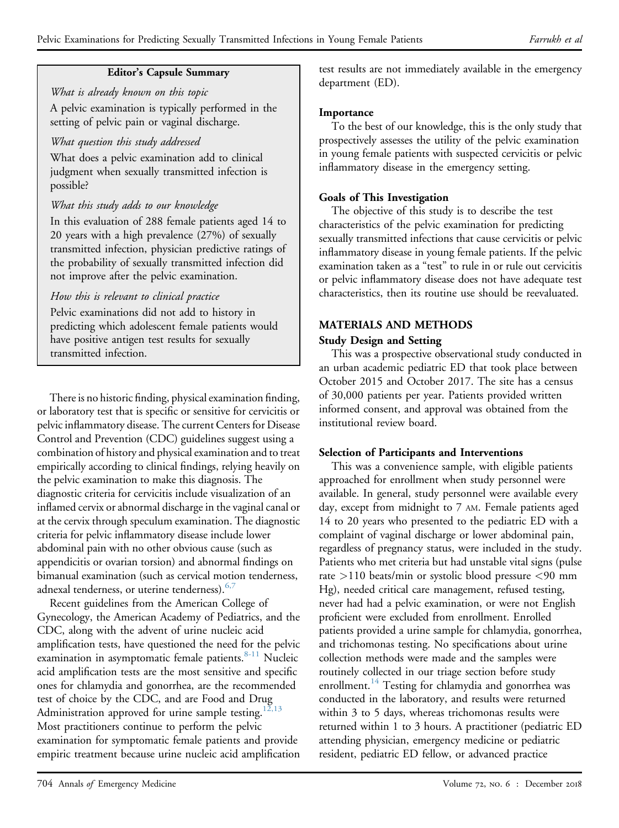## Editor's Capsule Summary

What is already known on this topic A pelvic examination is typically performed in the setting of pelvic pain or vaginal discharge.

## What question this study addressed

What does a pelvic examination add to clinical judgment when sexually transmitted infection is possible?

## What this study adds to our knowledge

In this evaluation of 288 female patients aged 14 to 20 years with a high prevalence (27%) of sexually transmitted infection, physician predictive ratings of the probability of sexually transmitted infection did not improve after the pelvic examination.

## How this is relevant to clinical practice

Pelvic examinations did not add to history in predicting which adolescent female patients would have positive antigen test results for sexually transmitted infection.

There is no historic finding, physical examination finding, or laboratory test that is specific or sensitive for cervicitis or pelvic inflammatory disease. The current Centers for Disease Control and Prevention (CDC) guidelines suggest using a combination of history and physical examination and to treat empirically according to clinical findings, relying heavily on the pelvic examination to make this diagnosis. The diagnostic criteria for cervicitis include visualization of an inflamed cervix or abnormal discharge in the vaginal canal or at the cervix through speculum examination. The diagnostic criteria for pelvic inflammatory disease include lower abdominal pain with no other obvious cause (such as appendicitis or ovarian torsion) and abnormal findings on bimanual examination (such as cervical motion tenderness, adnexal tenderness, or uterine tenderness). $6,7$ 

Recent guidelines from the American College of Gynecology, the American Academy of Pediatrics, and the CDC, along with the advent of urine nucleic acid amplification tests, have questioned the need for the pelvic examination in asymptomatic female patients. $8-11$  Nucleic acid amplification tests are the most sensitive and specific ones for chlamydia and gonorrhea, are the recommended test of choice by the CDC, and are Food and Drug Administration approved for urine sample testing.<sup>12,13</sup> Most practitioners continue to perform the pelvic examination for symptomatic female patients and provide empiric treatment because urine nucleic acid amplification

test results are not immediately available in the emergency department (ED).

#### Importance

To the best of our knowledge, this is the only study that prospectively assesses the utility of the pelvic examination in young female patients with suspected cervicitis or pelvic inflammatory disease in the emergency setting.

## Goals of This Investigation

The objective of this study is to describe the test characteristics of the pelvic examination for predicting sexually transmitted infections that cause cervicitis or pelvic inflammatory disease in young female patients. If the pelvic examination taken as a "test" to rule in or rule out cervicitis or pelvic inflammatory disease does not have adequate test characteristics, then its routine use should be reevaluated.

## MATERIALS AND METHODS

## Study Design and Setting

This was a prospective observational study conducted in an urban academic pediatric ED that took place between October 2015 and October 2017. The site has a census of 30,000 patients per year. Patients provided written informed consent, and approval was obtained from the institutional review board.

#### Selection of Participants and Interventions

This was a convenience sample, with eligible patients approached for enrollment when study personnel were available. In general, study personnel were available every day, except from midnight to 7 AM. Female patients aged 14 to 20 years who presented to the pediatric ED with a complaint of vaginal discharge or lower abdominal pain, regardless of pregnancy status, were included in the study. Patients who met criteria but had unstable vital signs (pulse rate >110 beats/min or systolic blood pressure <90 mm Hg), needed critical care management, refused testing, never had had a pelvic examination, or were not English proficient were excluded from enrollment. Enrolled patients provided a urine sample for chlamydia, gonorrhea, and trichomonas testing. No specifications about urine collection methods were made and the samples were routinely collected in our triage section before study enrollment.<sup>14</sup> Testing for chlamydia and gonorrhea was conducted in the laboratory, and results were returned within 3 to 5 days, whereas trichomonas results were returned within 1 to 3 hours. A practitioner (pediatric ED attending physician, emergency medicine or pediatric resident, pediatric ED fellow, or advanced practice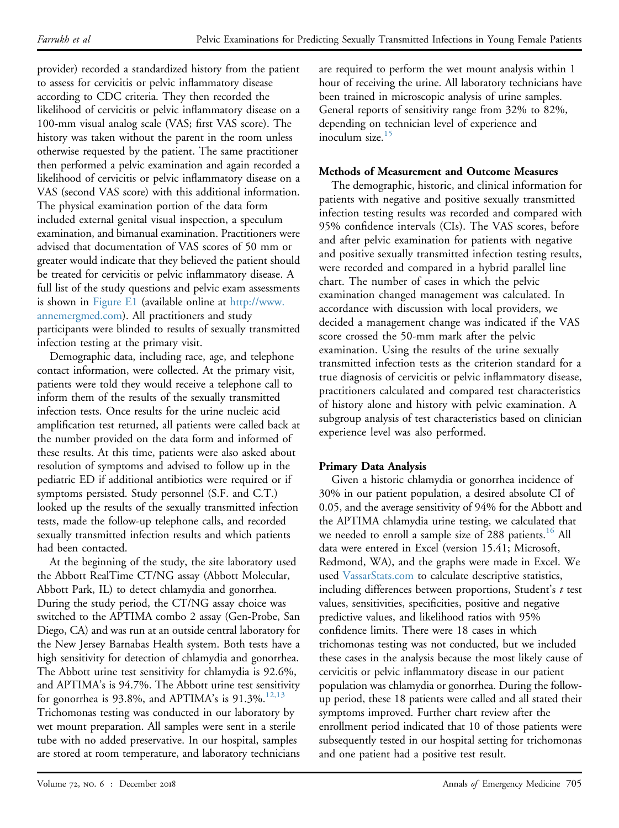provider) recorded a standardized history from the patient to assess for cervicitis or pelvic inflammatory disease according to CDC criteria. They then recorded the likelihood of cervicitis or pelvic inflammatory disease on a 100-mm visual analog scale (VAS; first VAS score). The history was taken without the parent in the room unless otherwise requested by the patient. The same practitioner then performed a pelvic examination and again recorded a likelihood of cervicitis or pelvic inflammatory disease on a VAS (second VAS score) with this additional information. The physical examination portion of the data form included external genital visual inspection, a speculum examination, and bimanual examination. Practitioners were advised that documentation of VAS scores of 50 mm or greater would indicate that they believed the patient should be treated for cervicitis or pelvic inflammatory disease. A full list of the study questions and pelvic exam assessments is shown in [Figure E1](#page-10-0) (available online at [http://www.](http://www.annemergmed.com) [annemergmed.com](http://www.annemergmed.com)). All practitioners and study participants were blinded to results of sexually transmitted infection testing at the primary visit.

Demographic data, including race, age, and telephone contact information, were collected. At the primary visit, patients were told they would receive a telephone call to inform them of the results of the sexually transmitted infection tests. Once results for the urine nucleic acid amplification test returned, all patients were called back at the number provided on the data form and informed of these results. At this time, patients were also asked about resolution of symptoms and advised to follow up in the pediatric ED if additional antibiotics were required or if symptoms persisted. Study personnel (S.F. and C.T.) looked up the results of the sexually transmitted infection tests, made the follow-up telephone calls, and recorded sexually transmitted infection results and which patients had been contacted.

At the beginning of the study, the site laboratory used the Abbott RealTime CT/NG assay (Abbott Molecular, Abbott Park, IL) to detect chlamydia and gonorrhea. During the study period, the CT/NG assay choice was switched to the APTIMA combo 2 assay (Gen-Probe, San Diego, CA) and was run at an outside central laboratory for the New Jersey Barnabas Health system. Both tests have a high sensitivity for detection of chlamydia and gonorrhea. The Abbott urine test sensitivity for chlamydia is 92.6%, and APTIMA's is 94.7%. The Abbott urine test sensitivity for gonorrhea is 93.8%, and APTIMA's is 91.3%.<sup>[12,13](#page-8-5)</sup> Trichomonas testing was conducted in our laboratory by wet mount preparation. All samples were sent in a sterile tube with no added preservative. In our hospital, samples are stored at room temperature, and laboratory technicians are required to perform the wet mount analysis within 1 hour of receiving the urine. All laboratory technicians have been trained in microscopic analysis of urine samples. General reports of sensitivity range from 32% to 82%, depending on technician level of experience and inoculum size. $15$ 

### Methods of Measurement and Outcome Measures

The demographic, historic, and clinical information for patients with negative and positive sexually transmitted infection testing results was recorded and compared with 95% confidence intervals (CIs). The VAS scores, before and after pelvic examination for patients with negative and positive sexually transmitted infection testing results, were recorded and compared in a hybrid parallel line chart. The number of cases in which the pelvic examination changed management was calculated. In accordance with discussion with local providers, we decided a management change was indicated if the VAS score crossed the 50-mm mark after the pelvic examination. Using the results of the urine sexually transmitted infection tests as the criterion standard for a true diagnosis of cervicitis or pelvic inflammatory disease, practitioners calculated and compared test characteristics of history alone and history with pelvic examination. A subgroup analysis of test characteristics based on clinician experience level was also performed.

#### Primary Data Analysis

Given a historic chlamydia or gonorrhea incidence of 30% in our patient population, a desired absolute CI of 0.05, and the average sensitivity of 94% for the Abbott and the APTIMA chlamydia urine testing, we calculated that we needed to enroll a sample size of 288 patients.<sup>[16](#page-9-2)</sup> All data were entered in Excel (version 15.41; Microsoft, Redmond, WA), and the graphs were made in Excel. We used [VassarStats.com](http://VassarStats.com) to calculate descriptive statistics, including differences between proportions, Student's  $t$  test values, sensitivities, specificities, positive and negative predictive values, and likelihood ratios with 95% confidence limits. There were 18 cases in which trichomonas testing was not conducted, but we included these cases in the analysis because the most likely cause of cervicitis or pelvic inflammatory disease in our patient population was chlamydia or gonorrhea. During the followup period, these 18 patients were called and all stated their symptoms improved. Further chart review after the enrollment period indicated that 10 of those patients were subsequently tested in our hospital setting for trichomonas and one patient had a positive test result.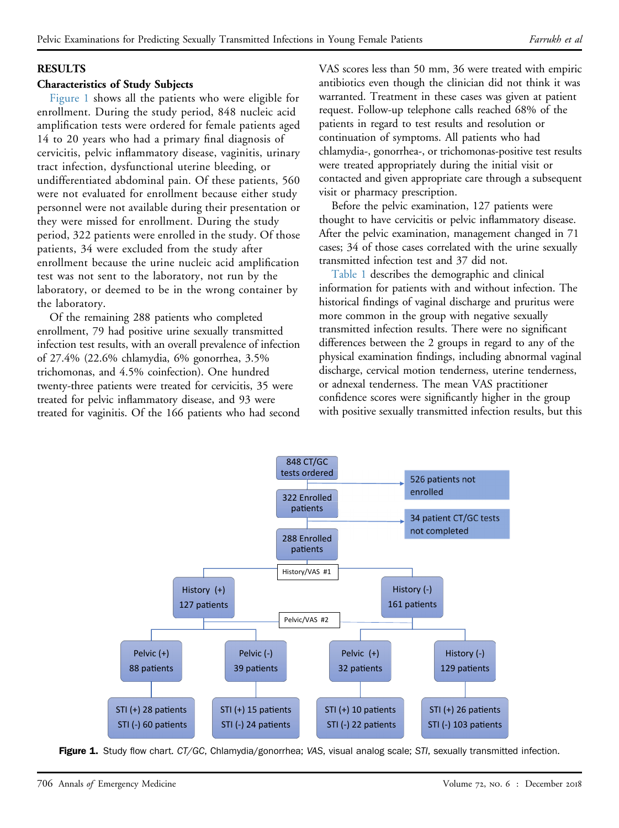#### RESULTS

#### Characteristics of Study Subjects

[Figure 1](#page-3-0) shows all the patients who were eligible for enrollment. During the study period, 848 nucleic acid amplification tests were ordered for female patients aged 14 to 20 years who had a primary final diagnosis of cervicitis, pelvic inflammatory disease, vaginitis, urinary tract infection, dysfunctional uterine bleeding, or undifferentiated abdominal pain. Of these patients, 560 were not evaluated for enrollment because either study personnel were not available during their presentation or they were missed for enrollment. During the study period, 322 patients were enrolled in the study. Of those patients, 34 were excluded from the study after enrollment because the urine nucleic acid amplification test was not sent to the laboratory, not run by the laboratory, or deemed to be in the wrong container by the laboratory.

Of the remaining 288 patients who completed enrollment, 79 had positive urine sexually transmitted infection test results, with an overall prevalence of infection of 27.4% (22.6% chlamydia, 6% gonorrhea, 3.5% trichomonas, and 4.5% coinfection). One hundred twenty-three patients were treated for cervicitis, 35 were treated for pelvic inflammatory disease, and 93 were treated for vaginitis. Of the 166 patients who had second VAS scores less than 50 mm, 36 were treated with empiric antibiotics even though the clinician did not think it was warranted. Treatment in these cases was given at patient request. Follow-up telephone calls reached 68% of the patients in regard to test results and resolution or continuation of symptoms. All patients who had chlamydia-, gonorrhea-, or trichomonas-positive test results were treated appropriately during the initial visit or contacted and given appropriate care through a subsequent visit or pharmacy prescription.

Before the pelvic examination, 127 patients were thought to have cervicitis or pelvic inflammatory disease. After the pelvic examination, management changed in 71 cases; 34 of those cases correlated with the urine sexually transmitted infection test and 37 did not.

[Table 1](#page-4-0) describes the demographic and clinical information for patients with and without infection. The historical findings of vaginal discharge and pruritus were more common in the group with negative sexually transmitted infection results. There were no significant differences between the 2 groups in regard to any of the physical examination findings, including abnormal vaginal discharge, cervical motion tenderness, uterine tenderness, or adnexal tenderness. The mean VAS practitioner confidence scores were significantly higher in the group with positive sexually transmitted infection results, but this

<span id="page-3-0"></span>

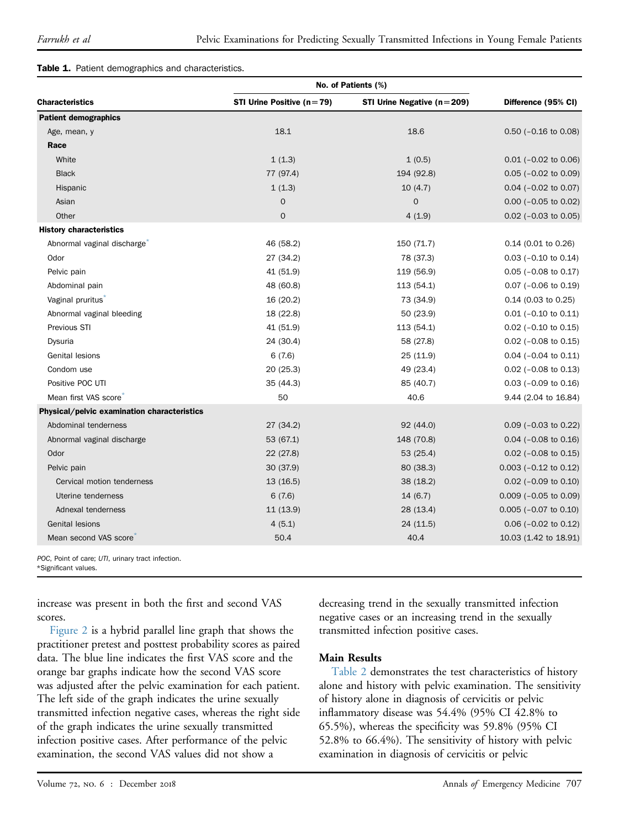#### Table 1. Patient demographics and characteristics.

|                                             | No. of Patients (%)         |                              |                               |  |
|---------------------------------------------|-----------------------------|------------------------------|-------------------------------|--|
| <b>Characteristics</b>                      | STI Urine Positive $(n=79)$ | STI Urine Negative $(n=209)$ | Difference (95% CI)           |  |
| <b>Patient demographics</b>                 |                             |                              |                               |  |
| Age, mean, y                                | 18.1                        | 18.6                         | $0.50$ (-0.16 to 0.08)        |  |
| Race                                        |                             |                              |                               |  |
| White                                       | 1(1.3)                      | 1(0.5)                       | $0.01$ ( $-0.02$ to $0.06$ )  |  |
| <b>Black</b>                                | 77 (97.4)                   | 194 (92.8)                   | $0.05$ ( $-0.02$ to $0.09$ )  |  |
| Hispanic                                    | 1(1.3)                      | 10(4.7)                      | $0.04$ ( $-0.02$ to $0.07$ )  |  |
| Asian                                       | $\mathbf 0$                 | $\overline{0}$               | $0.00$ ( $-0.05$ to $0.02$ )  |  |
| Other                                       | $\mathbf 0$                 | 4(1.9)                       | $0.02$ (-0.03 to 0.05)        |  |
| <b>History characteristics</b>              |                             |                              |                               |  |
| Abnormal vaginal discharge                  | 46 (58.2)                   | 150 (71.7)                   | $0.14$ (0.01 to 0.26)         |  |
| Odor                                        | 27 (34.2)                   | 78 (37.3)                    | $0.03$ (-0.10 to 0.14)        |  |
| Pelvic pain                                 | 41 (51.9)                   | 119 (56.9)                   | $0.05$ ( $-0.08$ to 0.17)     |  |
| Abdominal pain                              | 48 (60.8)                   | 113 (54.1)                   | $0.07$ (-0.06 to 0.19)        |  |
| Vaginal pruritus <sup>*</sup>               | 16 (20.2)                   | 73 (34.9)                    | $0.14$ (0.03 to 0.25)         |  |
| Abnormal vaginal bleeding                   | 18 (22.8)                   | 50 (23.9)                    | $0.01$ (-0.10 to 0.11)        |  |
| Previous STI                                | 41 (51.9)                   | 113 (54.1)                   | $0.02$ (-0.10 to 0.15)        |  |
| Dysuria                                     | 24 (30.4)                   | 58 (27.8)                    | $0.02$ (-0.08 to 0.15)        |  |
| Genital lesions                             | 6(7.6)                      | 25 (11.9)                    | $0.04$ (-0.04 to 0.11)        |  |
| Condom use                                  | 20(25.3)                    | 49 (23.4)                    | $0.02$ (-0.08 to 0.13)        |  |
| Positive POC UTI                            | 35 (44.3)                   | 85 (40.7)                    | $0.03$ ( $-0.09$ to $0.16$ )  |  |
| Mean first VAS score"                       | 50                          | 40.6                         | 9.44 (2.04 to 16.84)          |  |
| Physical/pelvic examination characteristics |                             |                              |                               |  |
| Abdominal tenderness                        | 27 (34.2)                   | 92 (44.0)                    | $0.09$ ( $-0.03$ to $0.22$ )  |  |
| Abnormal vaginal discharge                  | 53 (67.1)                   | 148 (70.8)                   | $0.04$ ( $-0.08$ to $0.16$ )  |  |
| Odor                                        | 22(27.8)                    | 53(25.4)                     | $0.02$ (-0.08 to 0.15)        |  |
| Pelvic pain                                 | 30 (37.9)                   | 80 (38.3)                    | $0.003$ (-0.12 to 0.12)       |  |
| Cervical motion tenderness                  | 13(16.5)                    | 38 (18.2)                    | $0.02$ (-0.09 to 0.10)        |  |
| Uterine tenderness                          | 6(7.6)                      | 14(6.7)                      | $0.009$ ( $-0.05$ to $0.09$ ) |  |
| Adnexal tenderness                          | 11(13.9)                    | 28 (13.4)                    | $0.005$ ( $-0.07$ to $0.10$ ) |  |
| Genital lesions                             | 4(5.1)                      | 24 (11.5)                    | $0.06$ ( $-0.02$ to $0.12$ )  |  |
| Mean second VAS score                       | 50.4                        | 40.4                         | 10.03 (1.42 to 18.91)         |  |
| $\cdot$ $\cdot$                             |                             |                              |                               |  |

<span id="page-4-0"></span>POC, Point of care; UTI, urinary tract infection.

<span id="page-4-1"></span>\*Significant values.

increase was present in both the first and second VAS scores.

[Figure 2](#page-5-0) is a hybrid parallel line graph that shows the practitioner pretest and posttest probability scores as paired data. The blue line indicates the first VAS score and the orange bar graphs indicate how the second VAS score was adjusted after the pelvic examination for each patient. The left side of the graph indicates the urine sexually transmitted infection negative cases, whereas the right side of the graph indicates the urine sexually transmitted infection positive cases. After performance of the pelvic examination, the second VAS values did not show a

decreasing trend in the sexually transmitted infection negative cases or an increasing trend in the sexually transmitted infection positive cases.

#### Main Results

[Table 2](#page-5-1) demonstrates the test characteristics of history alone and history with pelvic examination. The sensitivity of history alone in diagnosis of cervicitis or pelvic inflammatory disease was 54.4% (95% CI 42.8% to 65.5%), whereas the specificity was 59.8% (95% CI 52.8% to 66.4%). The sensitivity of history with pelvic examination in diagnosis of cervicitis or pelvic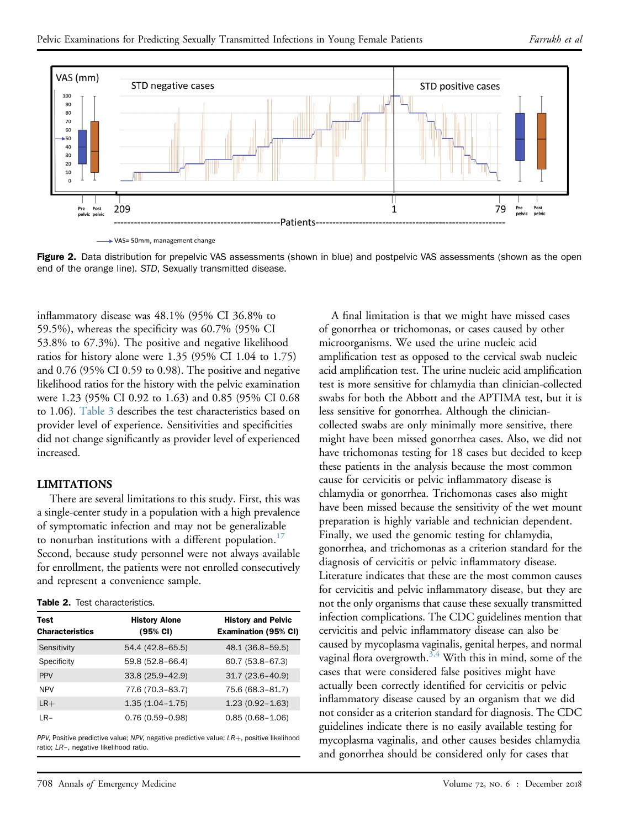<span id="page-5-0"></span>

VAS= 50mm, management change

Figure 2. Data distribution for prepelvic VAS assessments (shown in blue) and postpelvic VAS assessments (shown as the open end of the orange line). STD, Sexually transmitted disease.

inflammatory disease was 48.1% (95% CI 36.8% to 59.5%), whereas the specificity was 60.7% (95% CI 53.8% to 67.3%). The positive and negative likelihood ratios for history alone were 1.35 (95% CI 1.04 to 1.75) and 0.76 (95% CI 0.59 to 0.98). The positive and negative likelihood ratios for the history with the pelvic examination were 1.23 (95% CI 0.92 to 1.63) and 0.85 (95% CI 0.68 to 1.06). [Table 3](#page-6-0) describes the test characteristics based on provider level of experience. Sensitivities and specificities did not change significantly as provider level of experienced increased.

#### LIMITATIONS

There are several limitations to this study. First, this was a single-center study in a population with a high prevalence of symptomatic infection and may not be generalizable to nonurban institutions with a different population.<sup>17</sup> Second, because study personnel were not always available for enrollment, the patients were not enrolled consecutively and represent a convenience sample.

#### Table 2. Test characteristics.

| Test<br><b>Characteristics</b> | <b>History Alone</b><br>(95% CI) | <b>History and Pelvic</b><br><b>Examination (95% CI)</b> |  |  |  |
|--------------------------------|----------------------------------|----------------------------------------------------------|--|--|--|
| Sensitivity                    | 54.4 (42.8-65.5)                 | 48.1 (36.8-59.5)                                         |  |  |  |
| Specificity                    | 59.8 (52.8-66.4)                 | $60.7(53.8-67.3)$                                        |  |  |  |
| <b>PPV</b>                     | 33.8 (25.9-42.9)                 | 31.7 (23.6-40.9)                                         |  |  |  |
| <b>NPV</b>                     | 77.6 (70.3-83.7)                 | 75.6 (68.3-81.7)                                         |  |  |  |
| $LR+$                          | $1.35(1.04 - 1.75)$              | $1.23(0.92 - 1.63)$                                      |  |  |  |
| $LR-$                          | $0.76(0.59 - 0.98)$              | $0.85(0.68 - 1.06)$                                      |  |  |  |

<span id="page-5-1"></span>PPV, Positive predictive value; NPV, negative predictive value;  $LR+$ , positive likelihood ratio; LR–, negative likelihood ratio.

A final limitation is that we might have missed cases of gonorrhea or trichomonas, or cases caused by other microorganisms. We used the urine nucleic acid amplification test as opposed to the cervical swab nucleic acid amplification test. The urine nucleic acid amplification test is more sensitive for chlamydia than clinician-collected swabs for both the Abbott and the APTIMA test, but it is less sensitive for gonorrhea. Although the cliniciancollected swabs are only minimally more sensitive, there might have been missed gonorrhea cases. Also, we did not have trichomonas testing for 18 cases but decided to keep these patients in the analysis because the most common cause for cervicitis or pelvic inflammatory disease is chlamydia or gonorrhea. Trichomonas cases also might have been missed because the sensitivity of the wet mount preparation is highly variable and technician dependent. Finally, we used the genomic testing for chlamydia, gonorrhea, and trichomonas as a criterion standard for the diagnosis of cervicitis or pelvic inflammatory disease. Literature indicates that these are the most common causes for cervicitis and pelvic inflammatory disease, but they are not the only organisms that cause these sexually transmitted infection complications. The CDC guidelines mention that cervicitis and pelvic inflammatory disease can also be caused by mycoplasma vaginalis, genital herpes, and normal vaginal flora overgrowth.<sup>3,4</sup> With this in mind, some of the cases that were considered false positives might have actually been correctly identified for cervicitis or pelvic inflammatory disease caused by an organism that we did not consider as a criterion standard for diagnosis. The CDC guidelines indicate there is no easily available testing for mycoplasma vaginalis, and other causes besides chlamydia and gonorrhea should be considered only for cases that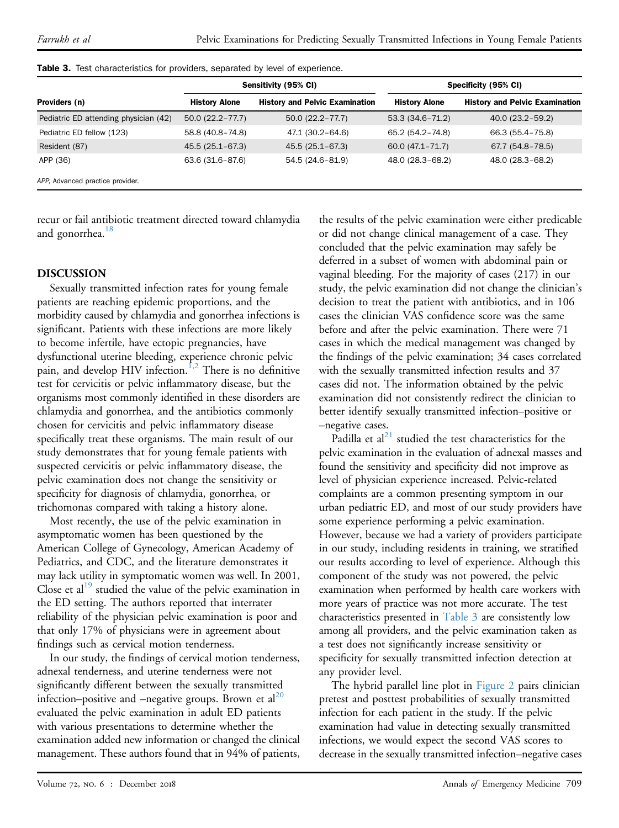|                                       |                      | Sensitivity (95% CI)                  | Specificity (95% CI) |                                       |  |  |
|---------------------------------------|----------------------|---------------------------------------|----------------------|---------------------------------------|--|--|
| Providers (n)                         | <b>History Alone</b> | <b>History and Pelvic Examination</b> | <b>History Alone</b> | <b>History and Pelvic Examination</b> |  |  |
| Pediatric ED attending physician (42) | $50.0(22.2 - 77.7)$  | $50.0(22.2 - 77.7)$                   | $53.3(34.6 - 71.2)$  | $40.0(23.2 - 59.2)$                   |  |  |
| Pediatric ED fellow (123)             | 58.8 (40.8-74.8)     | 47.1 (30.2-64.6)                      | 65.2 (54.2-74.8)     | 66.3 (55.4 - 75.8)                    |  |  |
| Resident (87)                         | 45.5 (25.1-67.3)     | 45.5 (25.1–67.3)                      | $60.0(47.1 - 71.7)$  | 67.7 (54.8-78.5)                      |  |  |
| APP (36)                              | 63.6 (31.6-87.6)     | 54.5 (24.6-81.9)                      | 48.0 (28.3-68.2)     | 48.0 (28.3-68.2)                      |  |  |
| APP, Advanced practice provider.      |                      |                                       |                      |                                       |  |  |

|  | Table 3. Test characteristics for providers, separated by level of experience. |  |  |  |  |
|--|--------------------------------------------------------------------------------|--|--|--|--|
|  |                                                                                |  |  |  |  |

<span id="page-6-0"></span>recur or fail antibiotic treatment directed toward chlamydia and gonorrhea.<sup>18</sup>

#### DISCUSSION

Sexually transmitted infection rates for young female patients are reaching epidemic proportions, and the morbidity caused by chlamydia and gonorrhea infections is significant. Patients with these infections are more likely to become infertile, have ectopic pregnancies, have dysfunctional uterine bleeding, experience chronic pelvic pain, and develop HIV infection.<sup>[1,2](#page-8-0)</sup> There is no definitive test for cervicitis or pelvic inflammatory disease, but the organisms most commonly identified in these disorders are chlamydia and gonorrhea, and the antibiotics commonly chosen for cervicitis and pelvic inflammatory disease specifically treat these organisms. The main result of our study demonstrates that for young female patients with suspected cervicitis or pelvic inflammatory disease, the pelvic examination does not change the sensitivity or specificity for diagnosis of chlamydia, gonorrhea, or trichomonas compared with taking a history alone.

Most recently, the use of the pelvic examination in asymptomatic women has been questioned by the American College of Gynecology, American Academy of Pediatrics, and CDC, and the literature demonstrates it may lack utility in symptomatic women was well. In 2001, Close et al<sup>[19](#page-9-5)</sup> studied the value of the pelvic examination in the ED setting. The authors reported that interrater reliability of the physician pelvic examination is poor and that only 17% of physicians were in agreement about findings such as cervical motion tenderness.

In our study, the findings of cervical motion tenderness, adnexal tenderness, and uterine tenderness were not significantly different between the sexually transmitted infection–positive and –negative groups. Brown et al<sup>[20](#page-9-6)</sup> evaluated the pelvic examination in adult ED patients with various presentations to determine whether the examination added new information or changed the clinical management. These authors found that in 94% of patients,

the results of the pelvic examination were either predicable or did not change clinical management of a case. They concluded that the pelvic examination may safely be deferred in a subset of women with abdominal pain or vaginal bleeding. For the majority of cases (217) in our study, the pelvic examination did not change the clinician's decision to treat the patient with antibiotics, and in 106 cases the clinician VAS confidence score was the same before and after the pelvic examination. There were 71 cases in which the medical management was changed by the findings of the pelvic examination; 34 cases correlated with the sexually transmitted infection results and 37 cases did not. The information obtained by the pelvic examination did not consistently redirect the clinician to better identify sexually transmitted infection–positive or –negative cases.

Padilla et  $al<sup>21</sup>$  $al<sup>21</sup>$  $al<sup>21</sup>$  studied the test characteristics for the pelvic examination in the evaluation of adnexal masses and found the sensitivity and specificity did not improve as level of physician experience increased. Pelvic-related complaints are a common presenting symptom in our urban pediatric ED, and most of our study providers have some experience performing a pelvic examination. However, because we had a variety of providers participate in our study, including residents in training, we stratified our results according to level of experience. Although this component of the study was not powered, the pelvic examination when performed by health care workers with more years of practice was not more accurate. The test characteristics presented in [Table 3](#page-6-0) are consistently low among all providers, and the pelvic examination taken as a test does not significantly increase sensitivity or specificity for sexually transmitted infection detection at any provider level.

The hybrid parallel line plot in [Figure 2](#page-5-0) pairs clinician pretest and posttest probabilities of sexually transmitted infection for each patient in the study. If the pelvic examination had value in detecting sexually transmitted infections, we would expect the second VAS scores to decrease in the sexually transmitted infection–negative cases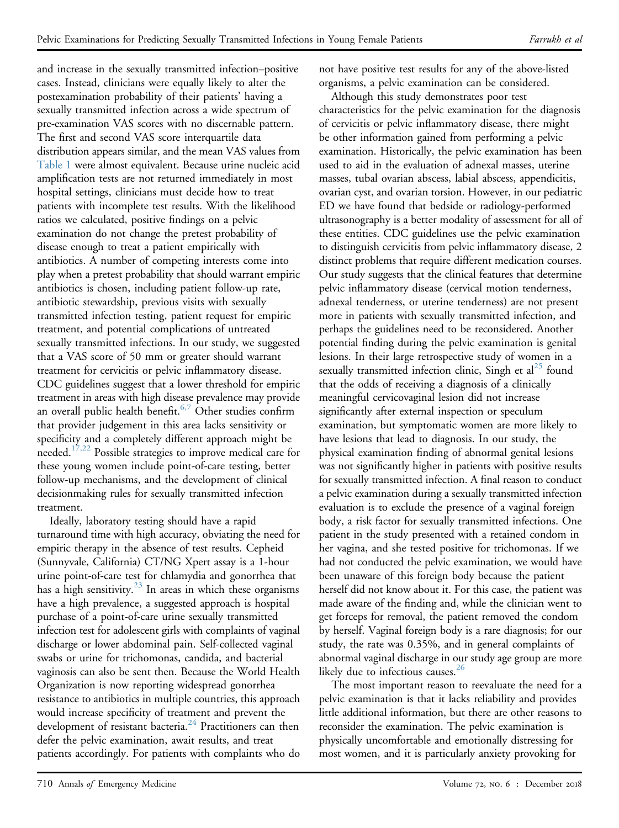and increase in the sexually transmitted infection–positive cases. Instead, clinicians were equally likely to alter the postexamination probability of their patients' having a sexually transmitted infection across a wide spectrum of pre-examination VAS scores with no discernable pattern. The first and second VAS score interquartile data distribution appears similar, and the mean VAS values from [Table 1](#page-4-0) were almost equivalent. Because urine nucleic acid amplification tests are not returned immediately in most hospital settings, clinicians must decide how to treat patients with incomplete test results. With the likelihood ratios we calculated, positive findings on a pelvic examination do not change the pretest probability of disease enough to treat a patient empirically with antibiotics. A number of competing interests come into play when a pretest probability that should warrant empiric antibiotics is chosen, including patient follow-up rate, antibiotic stewardship, previous visits with sexually transmitted infection testing, patient request for empiric treatment, and potential complications of untreated sexually transmitted infections. In our study, we suggested that a VAS score of 50 mm or greater should warrant treatment for cervicitis or pelvic inflammatory disease. CDC guidelines suggest that a lower threshold for empiric treatment in areas with high disease prevalence may provide an overall public health benefit. $6/7$  Other studies confirm that provider judgement in this area lacks sensitivity or specificity and a completely different approach might be needed[.17,22](#page-9-3) Possible strategies to improve medical care for these young women include point-of-care testing, better follow-up mechanisms, and the development of clinical decisionmaking rules for sexually transmitted infection treatment.

Ideally, laboratory testing should have a rapid turnaround time with high accuracy, obviating the need for empiric therapy in the absence of test results. Cepheid (Sunnyvale, California) CT/NG Xpert assay is a 1-hour urine point-of-care test for chlamydia and gonorrhea that has a high sensitivity.<sup>23</sup> In areas in which these organisms have a high prevalence, a suggested approach is hospital purchase of a point-of-care urine sexually transmitted infection test for adolescent girls with complaints of vaginal discharge or lower abdominal pain. Self-collected vaginal swabs or urine for trichomonas, candida, and bacterial vaginosis can also be sent then. Because the World Health Organization is now reporting widespread gonorrhea resistance to antibiotics in multiple countries, this approach would increase specificity of treatment and prevent the development of resistant bacteria.<sup>[24](#page-9-9)</sup> Practitioners can then defer the pelvic examination, await results, and treat patients accordingly. For patients with complaints who do not have positive test results for any of the above-listed organisms, a pelvic examination can be considered.

Although this study demonstrates poor test characteristics for the pelvic examination for the diagnosis of cervicitis or pelvic inflammatory disease, there might be other information gained from performing a pelvic examination. Historically, the pelvic examination has been used to aid in the evaluation of adnexal masses, uterine masses, tubal ovarian abscess, labial abscess, appendicitis, ovarian cyst, and ovarian torsion. However, in our pediatric ED we have found that bedside or radiology-performed ultrasonography is a better modality of assessment for all of these entities. CDC guidelines use the pelvic examination to distinguish cervicitis from pelvic inflammatory disease, 2 distinct problems that require different medication courses. Our study suggests that the clinical features that determine pelvic inflammatory disease (cervical motion tenderness, adnexal tenderness, or uterine tenderness) are not present more in patients with sexually transmitted infection, and perhaps the guidelines need to be reconsidered. Another potential finding during the pelvic examination is genital lesions. In their large retrospective study of women in a sexually transmitted infection clinic, Singh et  $al<sup>25</sup>$  $al<sup>25</sup>$  $al<sup>25</sup>$  found that the odds of receiving a diagnosis of a clinically meaningful cervicovaginal lesion did not increase significantly after external inspection or speculum examination, but symptomatic women are more likely to have lesions that lead to diagnosis. In our study, the physical examination finding of abnormal genital lesions was not significantly higher in patients with positive results for sexually transmitted infection. A final reason to conduct a pelvic examination during a sexually transmitted infection evaluation is to exclude the presence of a vaginal foreign body, a risk factor for sexually transmitted infections. One patient in the study presented with a retained condom in her vagina, and she tested positive for trichomonas. If we had not conducted the pelvic examination, we would have been unaware of this foreign body because the patient herself did not know about it. For this case, the patient was made aware of the finding and, while the clinician went to get forceps for removal, the patient removed the condom by herself. Vaginal foreign body is a rare diagnosis; for our study, the rate was 0.35%, and in general complaints of abnormal vaginal discharge in our study age group are more likely due to infectious causes.<sup>[26](#page-9-11)</sup>

The most important reason to reevaluate the need for a pelvic examination is that it lacks reliability and provides little additional information, but there are other reasons to reconsider the examination. The pelvic examination is physically uncomfortable and emotionally distressing for most women, and it is particularly anxiety provoking for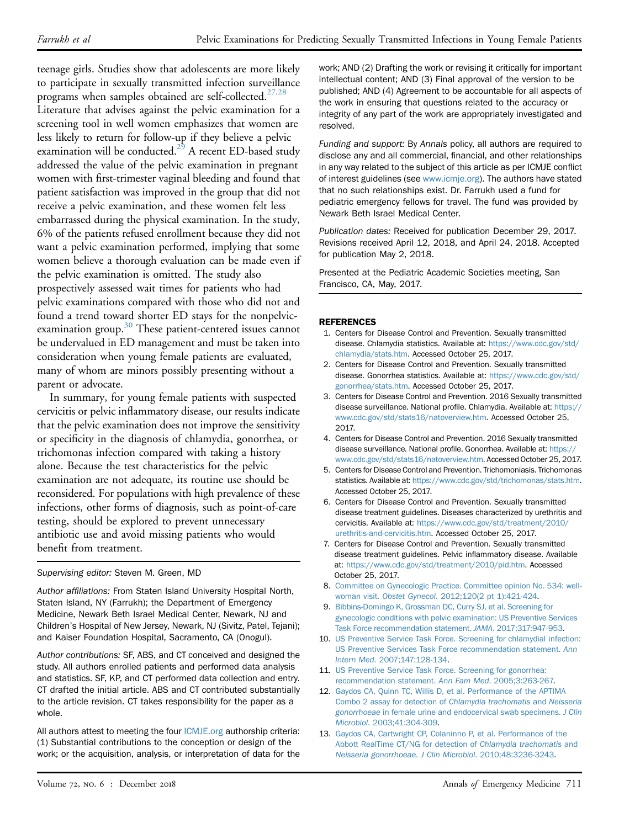teenage girls. Studies show that adolescents are more likely to participate in sexually transmitted infection surveillance programs when samples obtained are self-collected.<sup>[27,28](#page-9-12)</sup> Literature that advises against the pelvic examination for a screening tool in well women emphasizes that women are less likely to return for follow-up if they believe a pelvic examination will be conducted.<sup>29</sup> A recent ED-based study addressed the value of the pelvic examination in pregnant women with first-trimester vaginal bleeding and found that patient satisfaction was improved in the group that did not receive a pelvic examination, and these women felt less embarrassed during the physical examination. In the study, 6% of the patients refused enrollment because they did not want a pelvic examination performed, implying that some women believe a thorough evaluation can be made even if the pelvic examination is omitted. The study also prospectively assessed wait times for patients who had pelvic examinations compared with those who did not and found a trend toward shorter ED stays for the nonpelvic-examination group.<sup>[30](#page-9-14)</sup> These patient-centered issues cannot be undervalued in ED management and must be taken into consideration when young female patients are evaluated, many of whom are minors possibly presenting without a parent or advocate.

In summary, for young female patients with suspected cervicitis or pelvic inflammatory disease, our results indicate that the pelvic examination does not improve the sensitivity or specificity in the diagnosis of chlamydia, gonorrhea, or trichomonas infection compared with taking a history alone. Because the test characteristics for the pelvic examination are not adequate, its routine use should be reconsidered. For populations with high prevalence of these infections, other forms of diagnosis, such as point-of-care testing, should be explored to prevent unnecessary antibiotic use and avoid missing patients who would benefit from treatment.

Supervising editor: Steven M. Green, MD

Author affiliations: From Staten Island University Hospital North, Staten Island, NY (Farrukh); the Department of Emergency Medicine, Newark Beth Israel Medical Center, Newark, NJ and Children's Hospital of New Jersey, Newark, NJ (Sivitz, Patel, Tejani); and Kaiser Foundation Hospital, Sacramento, CA (Onogul).

Author contributions: SF, ABS, and CT conceived and designed the study. All authors enrolled patients and performed data analysis and statistics. SF, KP, and CT performed data collection and entry. CT drafted the initial article. ABS and CT contributed substantially to the article revision. CT takes responsibility for the paper as a whole.

All authors attest to meeting the four [ICMJE.org](http://ICMJE.org) authorship criteria: (1) Substantial contributions to the conception or design of the work; or the acquisition, analysis, or interpretation of data for the

work; AND (2) Drafting the work or revising it critically for important intellectual content; AND (3) Final approval of the version to be published; AND (4) Agreement to be accountable for all aspects of the work in ensuring that questions related to the accuracy or integrity of any part of the work are appropriately investigated and resolved.

Funding and support: By Annals policy, all authors are required to disclose any and all commercial, financial, and other relationships in any way related to the subject of this article as per ICMJE conflict of interest guidelines (see [www.icmje.org](http://www.icmje.org/)). The authors have stated that no such relationships exist. Dr. Farrukh used a fund for pediatric emergency fellows for travel. The fund was provided by Newark Beth Israel Medical Center.

Publication dates: Received for publication December 29, 2017. Revisions received April 12, 2018, and April 24, 2018. Accepted for publication May 2, 2018.

Presented at the Pediatric Academic Societies meeting, San Francisco, CA, May, 2017.

#### <span id="page-8-0"></span>**REFERENCES**

- 1. Centers for Disease Control and Prevention. Sexually transmitted disease. Chlamydia statistics. Available at: [https://www.cdc.gov/std/](https://www.cdc.gov/std/chlamydia/stats.htm) [chlamydia/stats.htm](https://www.cdc.gov/std/chlamydia/stats.htm). Accessed October 25, 2017.
- 2. Centers for Disease Control and Prevention. Sexually transmitted disease. Gonorrhea statistics. Available at: [https://www.cdc.gov/std/](https://www.cdc.gov/std/gonorrhea/stats.htm) [gonorrhea/stats.htm.](https://www.cdc.gov/std/gonorrhea/stats.htm) Accessed October 25, 2017.
- <span id="page-8-1"></span>3. Centers for Disease Control and Prevention. 2016 Sexually transmitted disease surveillance. National profile. Chlamydia. Available at: [https://](https://www.cdc.gov/std/stats16/natoverview.htm) [www.cdc.gov/std/stats16/natoverview.htm.](https://www.cdc.gov/std/stats16/natoverview.htm) Accessed October 25, 2017.
- 4. Centers for Disease Control and Prevention. 2016 Sexually transmitted disease surveillance. National profile. Gonorrhea. Available at: [https://](https://www.cdc.gov/std/stats16/natoverview.htm) [www.cdc.gov/std/stats16/natoverview.htm.](https://www.cdc.gov/std/stats16/natoverview.htm) Accessed October 25, 2017.
- <span id="page-8-2"></span>5. Centers for Disease Control and Prevention. Trichomoniasis. Trichomonas statistics. Available at: <https://www.cdc.gov/std/trichomonas/stats.htm>. Accessed October 25, 2017.
- <span id="page-8-3"></span>6. Centers for Disease Control and Prevention. Sexually transmitted disease treatment guidelines. Diseases characterized by urethritis and cervicitis. Available at: [https://www.cdc.gov/std/treatment/2010/](https://www.cdc.gov/std/treatment/2010/urethritis-and-cervicitis.htm) [urethritis-and-cervicitis.htm.](https://www.cdc.gov/std/treatment/2010/urethritis-and-cervicitis.htm) Accessed October 25, 2017.
- 7. Centers for Disease Control and Prevention. Sexually transmitted disease treatment guidelines. Pelvic inflammatory disease. Available at: <https://www.cdc.gov/std/treatment/2010/pid.htm>. Accessed October 25, 2017.
- <span id="page-8-4"></span>8. [Committee on Gynecologic Practice. Committee opinion No. 534: well](http://refhub.elsevier.com/S0196-0644(18)<?thyc=10?>30413-X<?thyc?>/sref8)woman visit. Obstet Gynecol[. 2012;120\(2 pt 1\):421-424.](http://refhub.elsevier.com/S0196-0644(18)<?thyc=10?>30413-X<?thyc?>/sref8)
- 9. [Bibbins-Domingo K, Grossman DC, Curry SJ, et al. Screening for](http://refhub.elsevier.com/S0196-0644(18)<?thyc=10?>30413-X<?thyc?>/sref9) [gynecologic conditions with pelvic examination: US Preventive Services](http://refhub.elsevier.com/S0196-0644(18)<?thyc=10?>30413-X<?thyc?>/sref9) [Task Force recommendation statement.](http://refhub.elsevier.com/S0196-0644(18)<?thyc=10?>30413-X<?thyc?>/sref9) JAMA. 2017;317:947-953.
- 10. [US Preventive Service Task Force. Screening for chlamydial infection:](http://refhub.elsevier.com/S0196-0644(18)<?thyc=10?>30413-X<?thyc?>/sref10) [US Preventive Services Task Force recommendation statement.](http://refhub.elsevier.com/S0196-0644(18)<?thyc=10?>30413-X<?thyc?>/sref10) Ann Intern Med[. 2007;147:128-134.](http://refhub.elsevier.com/S0196-0644(18)<?thyc=10?>30413-X<?thyc?>/sref10)
- 11. [US Preventive Service Task Force. Screening for gonorrhea:](http://refhub.elsevier.com/S0196-0644(18)<?thyc=10?>30413-X<?thyc?>/sref11) [recommendation statement.](http://refhub.elsevier.com/S0196-0644(18)<?thyc=10?>30413-X<?thyc?>/sref11) Ann Fam Med. 2005;3:263-267.
- <span id="page-8-5"></span>12. [Gaydos CA, Quinn TC, Willis D, et al. Performance of the APTIMA](http://refhub.elsevier.com/S0196-0644(18)<?thyc=10?>30413-X<?thyc?>/sref12) [Combo 2 assay for detection of](http://refhub.elsevier.com/S0196-0644(18)<?thyc=10?>30413-X<?thyc?>/sref12) Chlamydia trachomatis and Neisseria gonorrhoeae [in female urine and endocervical swab specimens.](http://refhub.elsevier.com/S0196-0644(18)<?thyc=10?>30413-X<?thyc?>/sref12) J Clin Microbiol[. 2003;41:304-309.](http://refhub.elsevier.com/S0196-0644(18)<?thyc=10?>30413-X<?thyc?>/sref12)
- 13. [Gaydos CA, Cartwright CP, Colaninno P, et al. Performance of the](http://refhub.elsevier.com/S0196-0644(18)<?thyc=10?>30413-X<?thyc?>/sref13) [Abbott RealTime CT/NG for detection of](http://refhub.elsevier.com/S0196-0644(18)<?thyc=10?>30413-X<?thyc?>/sref13) Chlamydia trachomatis and [Neisseria gonorrhoeae](http://refhub.elsevier.com/S0196-0644(18)<?thyc=10?>30413-X<?thyc?>/sref13). J Clin Microbiol. 2010;48:3236-3243.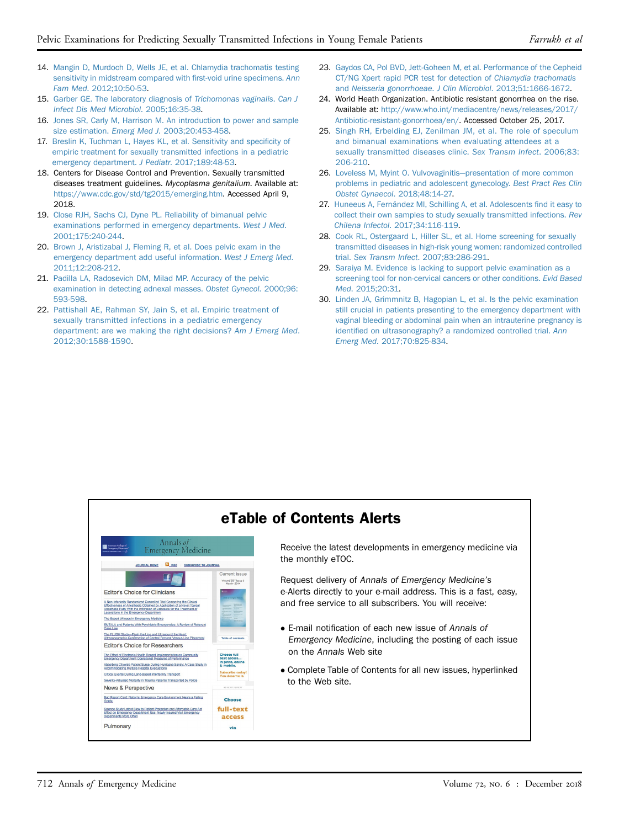- <span id="page-9-0"></span>14. [Mangin D, Murdoch D, Wells JE, et al. Chlamydia trachomatis testing](http://refhub.elsevier.com/S0196-0644(18)<?thyc=10?>30413-X<?thyc?>/sref14) [sensitivity in midstream compared with](http://refhub.elsevier.com/S0196-0644(18)<?thyc=10?>30413-X<?thyc?>/sref14) first-void urine specimens. Ann Fam Med[. 2012;10:50-53.](http://refhub.elsevier.com/S0196-0644(18)<?thyc=10?>30413-X<?thyc?>/sref14)
- <span id="page-9-1"></span>15. [Garber GE. The laboratory diagnosis of](http://refhub.elsevier.com/S0196-0644(18)<?thyc=10?>30413-X<?thyc?>/sref15) Trichomonas vaginalis. Can J [Infect Dis Med Microbiol](http://refhub.elsevier.com/S0196-0644(18)<?thyc=10?>30413-X<?thyc?>/sref15). 2005;16:35-38.
- <span id="page-9-2"></span>16. [Jones SR, Carly M, Harrison M. An introduction to power and sample](http://refhub.elsevier.com/S0196-0644(18)<?thyc=10?>30413-X<?thyc?>/sref16) size estimation. Emerg Med J[. 2003;20:453-458](http://refhub.elsevier.com/S0196-0644(18)<?thyc=10?>30413-X<?thyc?>/sref16).
- <span id="page-9-3"></span>17. [Breslin K, Tuchman L, Hayes KL, et al. Sensitivity and speci](http://refhub.elsevier.com/S0196-0644(18)<?thyc=10?>30413-X<?thyc?>/sref17)ficity of [empiric treatment for sexually transmitted infections in a pediatric](http://refhub.elsevier.com/S0196-0644(18)<?thyc=10?>30413-X<?thyc?>/sref17) [emergency department.](http://refhub.elsevier.com/S0196-0644(18)<?thyc=10?>30413-X<?thyc?>/sref17) J Pediatr. 2017;189:48-53.
- <span id="page-9-4"></span>18. Centers for Disease Control and Prevention. Sexually transmitted diseases treatment guidelines. Mycoplasma genitalium. Available at: [https://www.cdc.gov/std/tg2015/emerging.htm.](https://www.cdc.gov/std/tg2015/emerging.htm) Accessed April 9, 2018.
- <span id="page-9-5"></span>19. [Close RJH, Sachs CJ, Dyne PL. Reliability of bimanual pelvic](http://refhub.elsevier.com/S0196-0644(18)<?thyc=10?>30413-X<?thyc?>/sref19) [examinations performed in emergency departments.](http://refhub.elsevier.com/S0196-0644(18)<?thyc=10?>30413-X<?thyc?>/sref19) West J Med. [2001;175:240-244](http://refhub.elsevier.com/S0196-0644(18)<?thyc=10?>30413-X<?thyc?>/sref19).
- <span id="page-9-6"></span>20. [Brown J, Aristizabal J, Fleming R, et al. Does pelvic exam in the](http://refhub.elsevier.com/S0196-0644(18)<?thyc=10?>30413-X<?thyc?>/sref20) [emergency department add useful information.](http://refhub.elsevier.com/S0196-0644(18)<?thyc=10?>30413-X<?thyc?>/sref20) West J Emerg Med. [2011;12:208-212.](http://refhub.elsevier.com/S0196-0644(18)<?thyc=10?>30413-X<?thyc?>/sref20)
- <span id="page-9-7"></span>21. [Padilla LA, Radosevich DM, Milad MP. Accuracy of the pelvic](http://refhub.elsevier.com/S0196-0644(18)<?thyc=10?>30413-X<?thyc?>/sref21) [examination in detecting adnexal masses.](http://refhub.elsevier.com/S0196-0644(18)<?thyc=10?>30413-X<?thyc?>/sref21) Obstet Gynecol. 2000;96: [593-598](http://refhub.elsevier.com/S0196-0644(18)<?thyc=10?>30413-X<?thyc?>/sref21).
- 22. [Pattishall AE, Rahman SY, Jain S, et al. Empiric treatment of](http://refhub.elsevier.com/S0196-0644(18)<?thyc=10?>30413-X<?thyc?>/sref22) [sexually transmitted infections in a pediatric emergency](http://refhub.elsevier.com/S0196-0644(18)<?thyc=10?>30413-X<?thyc?>/sref22) [department: are we making the right decisions?](http://refhub.elsevier.com/S0196-0644(18)<?thyc=10?>30413-X<?thyc?>/sref22) Am J Emerg Med. [2012;30:1588-1590.](http://refhub.elsevier.com/S0196-0644(18)<?thyc=10?>30413-X<?thyc?>/sref22)
- <span id="page-9-8"></span>23. [Gaydos CA, Pol BVD, Jett-Goheen M, et al. Performance of the Cepheid](http://refhub.elsevier.com/S0196-0644(18)<?thyc=10?>30413-X<?thyc?>/sref23) [CT/NG Xpert rapid PCR test for detection of](http://refhub.elsevier.com/S0196-0644(18)<?thyc=10?>30413-X<?thyc?>/sref23) Chlamydia trachomatis and [Neisseria gonorrhoeae](http://refhub.elsevier.com/S0196-0644(18)<?thyc=10?>30413-X<?thyc?>/sref23). J Clin Microbiol. 2013;51:1666-1672.
- <span id="page-9-9"></span>24. World Heath Organization. Antibiotic resistant gonorrhea on the rise. Available at: [http://www.who.int/mediacentre/news/releases/2017/](http://www.who.int/mediacentre/news/releases/2017/Antibiotic-resistant-gonorrhoea/en/) [Antibiotic-resistant-gonorrhoea/en/.](http://www.who.int/mediacentre/news/releases/2017/Antibiotic-resistant-gonorrhoea/en/) Accessed October 25, 2017.
- <span id="page-9-10"></span>25. [Singh RH, Erbelding EJ, Zenilman JM, et al. The role of speculum](http://refhub.elsevier.com/S0196-0644(18)<?thyc=10?>30413-X<?thyc?>/sref25) [and bimanual examinations when evaluating attendees at a](http://refhub.elsevier.com/S0196-0644(18)<?thyc=10?>30413-X<?thyc?>/sref25) [sexually transmitted diseases clinic.](http://refhub.elsevier.com/S0196-0644(18)<?thyc=10?>30413-X<?thyc?>/sref25) Sex Transm Infect. 2006;83: [206-210.](http://refhub.elsevier.com/S0196-0644(18)<?thyc=10?>30413-X<?thyc?>/sref25)
- <span id="page-9-11"></span>26. [Loveless M, Myint O. Vulvovaginitis](http://refhub.elsevier.com/S0196-0644(18)<?thyc=10?>30413-X<?thyc?>/sref26)—[presentation of more common](http://refhub.elsevier.com/S0196-0644(18)<?thyc=10?>30413-X<?thyc?>/sref26) [problems in pediatric and adolescent gynecology.](http://refhub.elsevier.com/S0196-0644(18)<?thyc=10?>30413-X<?thyc?>/sref26) Best Pract Res Clin Obstet Gynaecol[. 2018;48:14-27.](http://refhub.elsevier.com/S0196-0644(18)<?thyc=10?>30413-X<?thyc?>/sref26)
- <span id="page-9-12"></span>27. [Huneeus A, Fernández MI, Schilling A, et al. Adolescents](http://refhub.elsevier.com/S0196-0644(18)<?thyc=10?>30413-X<?thyc?>/sref27) find it easy to [collect their own samples to study sexually transmitted infections.](http://refhub.elsevier.com/S0196-0644(18)<?thyc=10?>30413-X<?thyc?>/sref27) Rev Chilena Infectol[. 2017;34:116-119](http://refhub.elsevier.com/S0196-0644(18)<?thyc=10?>30413-X<?thyc?>/sref27).
- 28. [Cook RL, Ostergaard L, Hiller SL, et al. Home screening for sexually](http://refhub.elsevier.com/S0196-0644(18)<?thyc=10?>30413-X<?thyc?>/sref28) [transmitted diseases in high-risk young women: randomized controlled](http://refhub.elsevier.com/S0196-0644(18)<?thyc=10?>30413-X<?thyc?>/sref28) trial. Sex Transm Infect[. 2007;83:286-291.](http://refhub.elsevier.com/S0196-0644(18)<?thyc=10?>30413-X<?thyc?>/sref28)
- <span id="page-9-13"></span>29. [Saraiya M. Evidence is lacking to support pelvic examination as a](http://refhub.elsevier.com/S0196-0644(18)<?thyc=10?>30413-X<?thyc?>/sref29) [screening tool for non-cervical cancers or other conditions.](http://refhub.elsevier.com/S0196-0644(18)<?thyc=10?>30413-X<?thyc?>/sref29) Evid Based Med[. 2015;20:31.](http://refhub.elsevier.com/S0196-0644(18)<?thyc=10?>30413-X<?thyc?>/sref29)
- <span id="page-9-14"></span>30. [Linden JA, Grimmnitz B, Hagopian L, et al. Is the pelvic examination](http://refhub.elsevier.com/S0196-0644(18)<?thyc=10?>30413-X<?thyc?>/sref30) [still crucial in patients presenting to the emergency department with](http://refhub.elsevier.com/S0196-0644(18)<?thyc=10?>30413-X<?thyc?>/sref30) [vaginal bleeding or abdominal pain when an intrauterine pregnancy is](http://refhub.elsevier.com/S0196-0644(18)<?thyc=10?>30413-X<?thyc?>/sref30) identifi[ed on ultrasonography? a randomized controlled trial.](http://refhub.elsevier.com/S0196-0644(18)<?thyc=10?>30413-X<?thyc?>/sref30) Ann Emerg Med[. 2017;70:825-834.](http://refhub.elsevier.com/S0196-0644(18)<?thyc=10?>30413-X<?thyc?>/sref30)

## eTable of Contents Alerts

Annals of **Emergency Medicine** JOURNAL HOME | **N**RSS | SUBSCRIBE TO JOURN  $\overline{\mathbf{f}}$ Volume 63 - Issue 3 Editor's Choice for Clinicians EMTALA and Patients With Psychiatric Emerg **H Study-Flush the Line and Ultrasound the Heart:**<br>prophis Confirmation of Control Economi Veneura Line E Editor's Choice for Researchers The Effect of Electronic Health Record Implementation on Community<br>Emergency Department Operational Measures of Performance Absorbing Citywide Patient Surge During Hurricane Sandy: A Case Study in<br>Accommodating Multiple Hospital Evacuations Critical Events During Land-Based Interfacility Transport everity-Adjusted Mortality in Trauma Patients Transported by Police News & Perspective **Bad Re** port Card: Nation's Emergency Care Environment Nears a Failing Choose Science Study Latest Blow to Patient Protection and Affordable Care A full-text access Pulmonary via

Receive the latest developments in emergency medicine via the monthly eTOC.

Request delivery of Annals of Emergency Medicine's e-Alerts directly to your e-mail address. This is a fast, easy, and free service to all subscribers. You will receive:

- E-mail notification of each new issue of Annals of Emergency Medicine, including the posting of each issue on the Annals Web site
- Complete Table of Contents for all new issues, hyperlinked to the Web site.